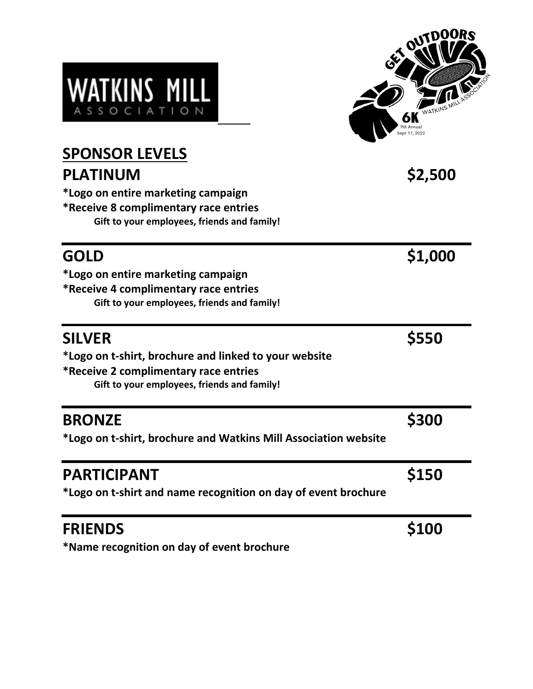| <b>WATKINS MILL</b> |  |                       |  |  |  |  |
|---------------------|--|-----------------------|--|--|--|--|
|                     |  | A S S O C I A T I O N |  |  |  |  |



| <b>SPONSOR LEVELS</b>                                           |         |  |  |
|-----------------------------------------------------------------|---------|--|--|
| <b>PLATINUM</b>                                                 | \$2,500 |  |  |
| *Logo on entire marketing campaign                              |         |  |  |
| *Receive 8 complimentary race entries                           |         |  |  |
| Gift to your employees, friends and family!                     |         |  |  |
| <b>GOLD</b>                                                     | \$1,000 |  |  |
| *Logo on entire marketing campaign                              |         |  |  |
| *Receive 4 complimentary race entries                           |         |  |  |
| Gift to your employees, friends and family!                     |         |  |  |
| <b>SILVER</b>                                                   | \$550   |  |  |
| *Logo on t-shirt, brochure and linked to your website           |         |  |  |
| *Receive 2 complimentary race entries                           |         |  |  |
| Gift to your employees, friends and family!                     |         |  |  |
| <b>BRONZE</b>                                                   | \$300   |  |  |
| *Logo on t-shirt, brochure and Watkins Mill Association website |         |  |  |
| <b>PARTICIPANT</b>                                              | \$150   |  |  |
| *Logo on t-shirt and name recognition on day of event brochure  |         |  |  |
| <b>FRIENDS</b>                                                  | \$100   |  |  |
| *Name recognition on day of event brochure                      |         |  |  |